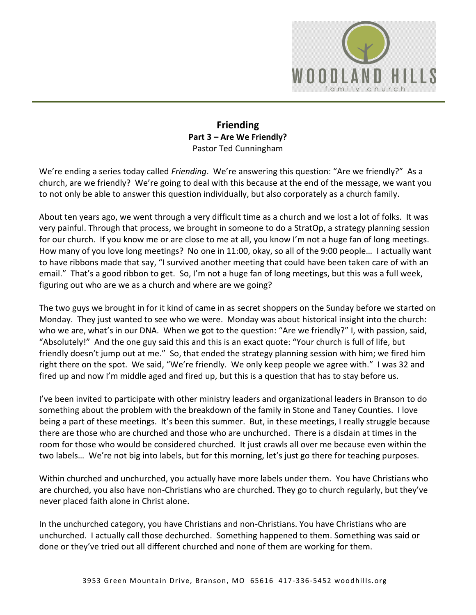

## **Friending Part 3 – Are We Friendly?**  Pastor Ted Cunningham

We're ending a series today called *Friending*. We're answering this question: "Are we friendly?" As a church, are we friendly? We're going to deal with this because at the end of the message, we want you to not only be able to answer this question individually, but also corporately as a church family.

About ten years ago, we went through a very difficult time as a church and we lost a lot of folks. It was very painful. Through that process, we brought in someone to do a StratOp, a strategy planning session for our church. If you know me or are close to me at all, you know I'm not a huge fan of long meetings. How many of you love long meetings? No one in 11:00, okay, so all of the 9:00 people… I actually want to have ribbons made that say, "I survived another meeting that could have been taken care of with an email." That's a good ribbon to get. So, I'm not a huge fan of long meetings, but this was a full week, figuring out who are we as a church and where are we going?

The two guys we brought in for it kind of came in as secret shoppers on the Sunday before we started on Monday. They just wanted to see who we were. Monday was about historical insight into the church: who we are, what's in our DNA. When we got to the question: "Are we friendly?" I, with passion, said, "Absolutely!" And the one guy said this and this is an exact quote: "Your church is full of life, but friendly doesn't jump out at me." So, that ended the strategy planning session with him; we fired him right there on the spot. We said, "We're friendly. We only keep people we agree with." I was 32 and fired up and now I'm middle aged and fired up, but this is a question that has to stay before us.

I've been invited to participate with other ministry leaders and organizational leaders in Branson to do something about the problem with the breakdown of the family in Stone and Taney Counties. I love being a part of these meetings. It's been this summer. But, in these meetings, I really struggle because there are those who are churched and those who are unchurched. There is a disdain at times in the room for those who would be considered churched. It just crawls all over me because even within the two labels… We're not big into labels, but for this morning, let's just go there for teaching purposes.

Within churched and unchurched, you actually have more labels under them. You have Christians who are churched, you also have non-Christians who are churched. They go to church regularly, but they've never placed faith alone in Christ alone.

In the unchurched category, you have Christians and non-Christians. You have Christians who are unchurched. I actually call those dechurched. Something happened to them. Something was said or done or they've tried out all different churched and none of them are working for them.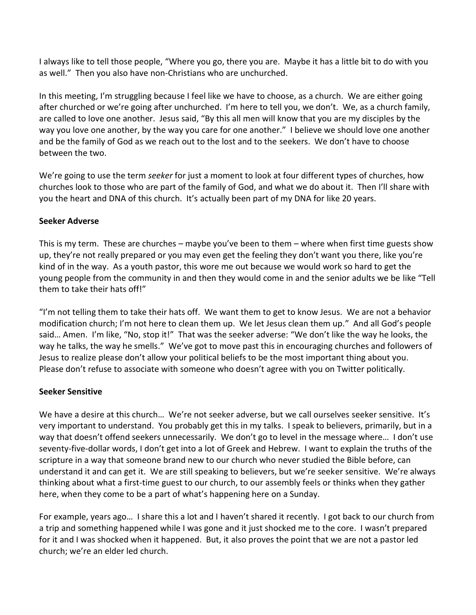I always like to tell those people, "Where you go, there you are. Maybe it has a little bit to do with you as well." Then you also have non-Christians who are unchurched.

In this meeting, I'm struggling because I feel like we have to choose, as a church. We are either going after churched or we're going after unchurched. I'm here to tell you, we don't. We, as a church family, are called to love one another. Jesus said, "By this all men will know that you are my disciples by the way you love one another, by the way you care for one another." I believe we should love one another and be the family of God as we reach out to the lost and to the seekers. We don't have to choose between the two.

We're going to use the term *seeker* for just a moment to look at four different types of churches, how churches look to those who are part of the family of God, and what we do about it. Then I'll share with you the heart and DNA of this church. It's actually been part of my DNA for like 20 years.

### **Seeker Adverse**

This is my term. These are churches – maybe you've been to them – where when first time guests show up, they're not really prepared or you may even get the feeling they don't want you there, like you're kind of in the way. As a youth pastor, this wore me out because we would work so hard to get the young people from the community in and then they would come in and the senior adults we be like "Tell them to take their hats off!"

"I'm not telling them to take their hats off. We want them to get to know Jesus. We are not a behavior modification church; I'm not here to clean them up. We let Jesus clean them up." And all God's people said… Amen. I'm like, "No, stop it!" That was the seeker adverse: "We don't like the way he looks, the way he talks, the way he smells." We've got to move past this in encouraging churches and followers of Jesus to realize please don't allow your political beliefs to be the most important thing about you. Please don't refuse to associate with someone who doesn't agree with you on Twitter politically.

### **Seeker Sensitive**

We have a desire at this church... We're not seeker adverse, but we call ourselves seeker sensitive. It's very important to understand. You probably get this in my talks. I speak to believers, primarily, but in a way that doesn't offend seekers unnecessarily. We don't go to level in the message where… I don't use seventy-five-dollar words, I don't get into a lot of Greek and Hebrew. I want to explain the truths of the scripture in a way that someone brand new to our church who never studied the Bible before, can understand it and can get it. We are still speaking to believers, but we're seeker sensitive. We're always thinking about what a first-time guest to our church, to our assembly feels or thinks when they gather here, when they come to be a part of what's happening here on a Sunday.

For example, years ago… I share this a lot and I haven't shared it recently. I got back to our church from a trip and something happened while I was gone and it just shocked me to the core. I wasn't prepared for it and I was shocked when it happened. But, it also proves the point that we are not a pastor led church; we're an elder led church.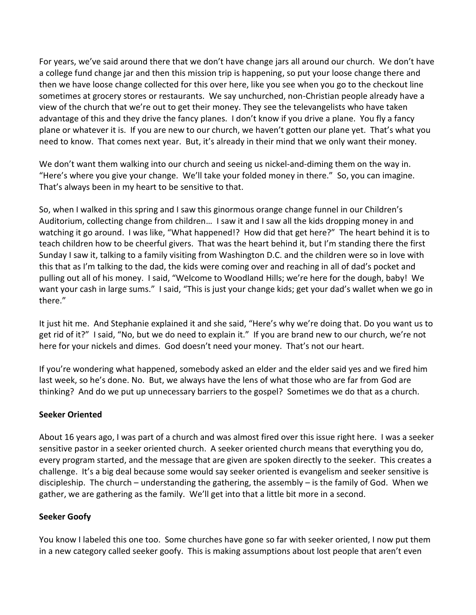For years, we've said around there that we don't have change jars all around our church. We don't have a college fund change jar and then this mission trip is happening, so put your loose change there and then we have loose change collected for this over here, like you see when you go to the checkout line sometimes at grocery stores or restaurants. We say unchurched, non-Christian people already have a view of the church that we're out to get their money. They see the televangelists who have taken advantage of this and they drive the fancy planes. I don't know if you drive a plane. You fly a fancy plane or whatever it is. If you are new to our church, we haven't gotten our plane yet. That's what you need to know. That comes next year. But, it's already in their mind that we only want their money.

We don't want them walking into our church and seeing us nickel-and-diming them on the way in. "Here's where you give your change. We'll take your folded money in there." So, you can imagine. That's always been in my heart to be sensitive to that.

So, when I walked in this spring and I saw this ginormous orange change funnel in our Children's Auditorium, collecting change from children… I saw it and I saw all the kids dropping money in and watching it go around. I was like, "What happened!? How did that get here?" The heart behind it is to teach children how to be cheerful givers. That was the heart behind it, but I'm standing there the first Sunday I saw it, talking to a family visiting from Washington D.C. and the children were so in love with this that as I'm talking to the dad, the kids were coming over and reaching in all of dad's pocket and pulling out all of his money. I said, "Welcome to Woodland Hills; we're here for the dough, baby! We want your cash in large sums." I said, "This is just your change kids; get your dad's wallet when we go in there."

It just hit me. And Stephanie explained it and she said, "Here's why we're doing that. Do you want us to get rid of it?" I said, "No, but we do need to explain it." If you are brand new to our church, we're not here for your nickels and dimes. God doesn't need your money. That's not our heart.

If you're wondering what happened, somebody asked an elder and the elder said yes and we fired him last week, so he's done. No. But, we always have the lens of what those who are far from God are thinking? And do we put up unnecessary barriers to the gospel? Sometimes we do that as a church.

### **Seeker Oriented**

About 16 years ago, I was part of a church and was almost fired over this issue right here. I was a seeker sensitive pastor in a seeker oriented church. A seeker oriented church means that everything you do, every program started, and the message that are given are spoken directly to the seeker. This creates a challenge. It's a big deal because some would say seeker oriented is evangelism and seeker sensitive is discipleship. The church – understanding the gathering, the assembly – is the family of God. When we gather, we are gathering as the family. We'll get into that a little bit more in a second.

### **Seeker Goofy**

You know I labeled this one too. Some churches have gone so far with seeker oriented, I now put them in a new category called seeker goofy. This is making assumptions about lost people that aren't even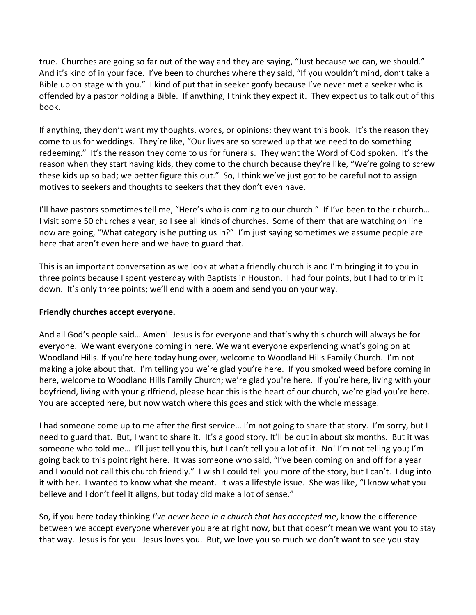true. Churches are going so far out of the way and they are saying, "Just because we can, we should." And it's kind of in your face. I've been to churches where they said, "If you wouldn't mind, don't take a Bible up on stage with you." I kind of put that in seeker goofy because I've never met a seeker who is offended by a pastor holding a Bible. If anything, I think they expect it. They expect us to talk out of this book.

If anything, they don't want my thoughts, words, or opinions; they want this book. It's the reason they come to us for weddings. They're like, "Our lives are so screwed up that we need to do something redeeming." It's the reason they come to us for funerals. They want the Word of God spoken. It's the reason when they start having kids, they come to the church because they're like, "We're going to screw these kids up so bad; we better figure this out." So, I think we've just got to be careful not to assign motives to seekers and thoughts to seekers that they don't even have.

I'll have pastors sometimes tell me, "Here's who is coming to our church." If I've been to their church... I visit some 50 churches a year, so I see all kinds of churches. Some of them that are watching on line now are going, "What category is he putting us in?" I'm just saying sometimes we assume people are here that aren't even here and we have to guard that.

This is an important conversation as we look at what a friendly church is and I'm bringing it to you in three points because I spent yesterday with Baptists in Houston. I had four points, but I had to trim it down. It's only three points; we'll end with a poem and send you on your way.

### **Friendly churches accept everyone.**

And all God's people said… Amen! Jesus is for everyone and that's why this church will always be for everyone. We want everyone coming in here. We want everyone experiencing what's going on at Woodland Hills. If you're here today hung over, welcome to Woodland Hills Family Church. I'm not making a joke about that. I'm telling you we're glad you're here. If you smoked weed before coming in here, welcome to Woodland Hills Family Church; we're glad you're here. If you're here, living with your boyfriend, living with your girlfriend, please hear this is the heart of our church, we're glad you're here. You are accepted here, but now watch where this goes and stick with the whole message.

I had someone come up to me after the first service… I'm not going to share that story. I'm sorry, but I need to guard that. But, I want to share it. It's a good story. It'll be out in about six months. But it was someone who told me… I'll just tell you this, but I can't tell you a lot of it. No! I'm not telling you; I'm going back to this point right here. It was someone who said, "I've been coming on and off for a year and I would not call this church friendly." I wish I could tell you more of the story, but I can't. I dug into it with her. I wanted to know what she meant. It was a lifestyle issue. She was like, "I know what you believe and I don't feel it aligns, but today did make a lot of sense."

So, if you here today thinking *I've never been in a church that has accepted me*, know the difference between we accept everyone wherever you are at right now, but that doesn't mean we want you to stay that way. Jesus is for you. Jesus loves you. But, we love you so much we don't want to see you stay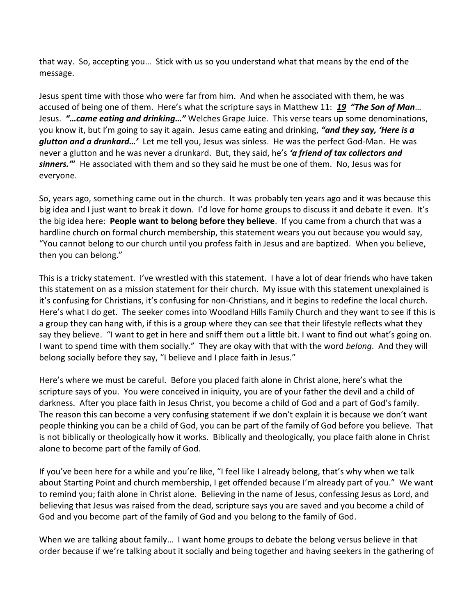that way. So, accepting you… Stick with us so you understand what that means by the end of the message.

Jesus spent time with those who were far from him. And when he associated with them, he was accused of being one of them. Here's what the scripture says in Matthew 11: *[19](http://www.studylight.org/desk/?q=mt%2011:19&t1=en_niv&sr=1) "The Son of Man*… Jesus. *"…came eating and drinking…"* Welches Grape Juice. This verse tears up some denominations, you know it, but I'm going to say it again. Jesus came eating and drinking, *"and they say, 'Here is a glutton and a drunkard…'* Let me tell you, Jesus was sinless. He was the perfect God-Man. He was never a glutton and he was never a drunkard. But, they said, he's *'a friend of tax collectors and sinners.'***"** He associated with them and so they said he must be one of them. No, Jesus was for everyone.

So, years ago, something came out in the church. It was probably ten years ago and it was because this big idea and I just want to break it down. I'd love for home groups to discuss it and debate it even. It's the big idea here: **People want to belong before they believe**. If you came from a church that was a hardline church on formal church membership, this statement wears you out because you would say, "You cannot belong to our church until you profess faith in Jesus and are baptized. When you believe, then you can belong."

This is a tricky statement. I've wrestled with this statement. I have a lot of dear friends who have taken this statement on as a mission statement for their church. My issue with this statement unexplained is it's confusing for Christians, it's confusing for non-Christians, and it begins to redefine the local church. Here's what I do get. The seeker comes into Woodland Hills Family Church and they want to see if this is a group they can hang with, if this is a group where they can see that their lifestyle reflects what they say they believe. "I want to get in here and sniff them out a little bit. I want to find out what's going on. I want to spend time with them socially." They are okay with that with the word *belong*. And they will belong socially before they say, "I believe and I place faith in Jesus."

Here's where we must be careful. Before you placed faith alone in Christ alone, here's what the scripture says of you. You were conceived in iniquity, you are of your father the devil and a child of darkness. After you place faith in Jesus Christ, you become a child of God and a part of God's family. The reason this can become a very confusing statement if we don't explain it is because we don't want people thinking you can be a child of God, you can be part of the family of God before you believe. That is not biblically or theologically how it works. Biblically and theologically, you place faith alone in Christ alone to become part of the family of God.

If you've been here for a while and you're like, "I feel like I already belong, that's why when we talk about Starting Point and church membership, I get offended because I'm already part of you." We want to remind you; faith alone in Christ alone. Believing in the name of Jesus, confessing Jesus as Lord, and believing that Jesus was raised from the dead, scripture says you are saved and you become a child of God and you become part of the family of God and you belong to the family of God.

When we are talking about family… I want home groups to debate the belong versus believe in that order because if we're talking about it socially and being together and having seekers in the gathering of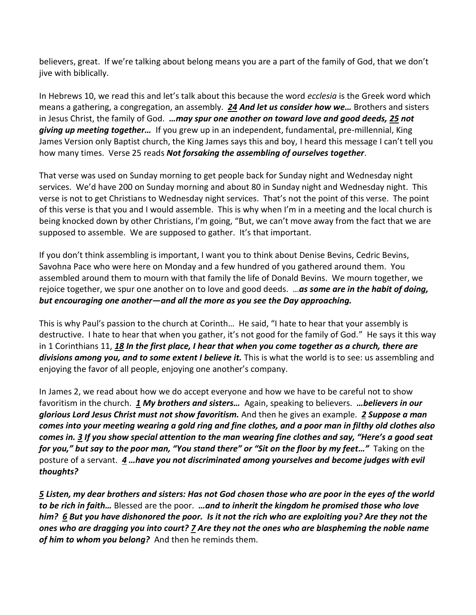believers, great. If we're talking about belong means you are a part of the family of God, that we don't jive with biblically.

In Hebrews 10, we read this and let's talk about this because the word *ecclesia* is the Greek word which means a gathering, a congregation, an assembly. *[24](http://www.studylight.org/desk/?q=heb%2010:24&t1=en_niv&sr=1) And let us consider how we…* Brothers and sisters in Jesus Christ, the family of God. *…may spur one another on toward love and good deeds, [25](http://www.studylight.org/desk/?q=heb%2010:25&t1=en_niv&sr=1) not giving up meeting together…* If you grew up in an independent, fundamental, pre-millennial, King James Version only Baptist church, the King James says this and boy, I heard this message I can't tell you how many times. Verse 25 reads *Not forsaking the assembling of ourselves together*.

That verse was used on Sunday morning to get people back for Sunday night and Wednesday night services. We'd have 200 on Sunday morning and about 80 in Sunday night and Wednesday night. This verse is not to get Christians to Wednesday night services. That's not the point of this verse. The point of this verse is that you and I would assemble. This is why when I'm in a meeting and the local church is being knocked down by other Christians, I'm going, "But, we can't move away from the fact that we are supposed to assemble. We are supposed to gather. It's that important.

If you don't think assembling is important, I want you to think about Denise Bevins, Cedric Bevins, Savohna Pace who were here on Monday and a few hundred of you gathered around them. You assembled around them to mourn with that family the life of Donald Bevins. We mourn together, we rejoice together, we spur one another on to love and good deeds. …*as some are in the habit of doing, but encouraging one another—and all the more as you see the Day approaching.*

This is why Paul's passion to the church at Corinth… He said, "I hate to hear that your assembly is destructive. I hate to hear that when you gather, it's not good for the family of God." He says it this way in 1 Corinthians 11, *[18](http://www.studylight.org/desk/?q=1co%2011:18&t1=en_niv&sr=1) In the first place, I hear that when you come together as a church, there are divisions among you, and to some extent I believe it.* This is what the world is to see: us assembling and enjoying the favor of all people, enjoying one another's company.

In James 2, we read about how we do accept everyone and how we have to be careful not to show favoritism in the church. *[1](http://www.studylight.org/desk/?q=jas%202:1&t1=en_niv&sr=1) My brothers and sisters…* Again, speaking to believers. *…believers in our glorious Lord Jesus Christ must not show favoritism.* And then he gives an example. *[2](http://www.studylight.org/desk/?q=jas%202:2&t1=en_niv&sr=1) Suppose a man comes into your meeting wearing a gold ring and fine clothes, and a poor man in filthy old clothes also comes in. [3](http://www.studylight.org/desk/?q=jas%202:3&t1=en_niv&sr=1) If you show special attention to the man wearing fine clothes and say, "Here's a good seat for you," but say to the poor man, "You stand there" or "Sit on the floor by my feet…"* Taking on the posture of a servant. *[4](http://www.studylight.org/desk/?q=jas%202:4&t1=en_niv&sr=1) …have you not discriminated among yourselves and become judges with evil thoughts?*

*[5](http://www.studylight.org/desk/?q=jas%202:5&t1=en_niv&sr=1) Listen, my dear brothers and sisters: Has not God chosen those who are poor in the eyes of the world to be rich in faith…* Blessed are the poor. *…and to inherit the kingdom he promised those who love him? [6](http://www.studylight.org/desk/?q=jas%202:6&t1=en_niv&sr=1) But you have dishonored the poor. Is it not the rich who are exploiting you? Are they not the ones who are dragging you into court? [7](http://www.studylight.org/desk/?q=jas%202:7&t1=en_niv&sr=1) Are they not the ones who are blaspheming the noble name of him to whom you belong?* And then he reminds them.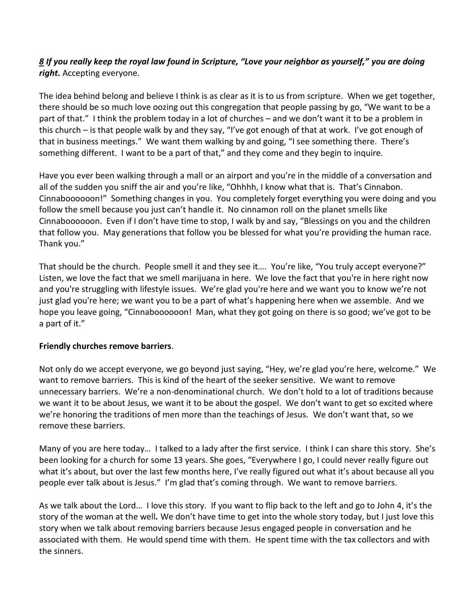# *[8](http://www.studylight.org/desk/?q=jas%202:8&t1=en_niv&sr=1) If you really keep the royal law found in Scripture, "Love your neighbor as yourself," you are doing right.* Accepting everyone.

The idea behind belong and believe I think is as clear as it is to us from scripture. When we get together, there should be so much love oozing out this congregation that people passing by go, "We want to be a part of that." I think the problem today in a lot of churches – and we don't want it to be a problem in this church – is that people walk by and they say, "I've got enough of that at work. I've got enough of that in business meetings." We want them walking by and going, "I see something there. There's something different. I want to be a part of that," and they come and they begin to inquire.

Have you ever been walking through a mall or an airport and you're in the middle of a conversation and all of the sudden you sniff the air and you're like, "Ohhhh, I know what that is. That's Cinnabon. Cinnaboooooon!" Something changes in you. You completely forget everything you were doing and you follow the smell because you just can't handle it. No cinnamon roll on the planet smells like Cinnaboooooon. Even if I don't have time to stop, I walk by and say, "Blessings on you and the children that follow you. May generations that follow you be blessed for what you're providing the human race. Thank you."

That should be the church. People smell it and they see it…. You're like, "You truly accept everyone?" Listen, we love the fact that we smell marijuana in here. We love the fact that you're in here right now and you're struggling with lifestyle issues. We're glad you're here and we want you to know we're not just glad you're here; we want you to be a part of what's happening here when we assemble. And we hope you leave going, "Cinnaboooooon! Man, what they got going on there is so good; we've got to be a part of it."

### **Friendly churches remove barriers**.

Not only do we accept everyone, we go beyond just saying, "Hey, we're glad you're here, welcome." We want to remove barriers. This is kind of the heart of the seeker sensitive. We want to remove unnecessary barriers. We're a non-denominational church. We don't hold to a lot of traditions because we want it to be about Jesus, we want it to be about the gospel. We don't want to get so excited where we're honoring the traditions of men more than the teachings of Jesus. We don't want that, so we remove these barriers.

Many of you are here today… I talked to a lady after the first service. I think I can share this story. She's been looking for a church for some 13 years. She goes, "Everywhere I go, I could never really figure out what it's about, but over the last few months here, I've really figured out what it's about because all you people ever talk about is Jesus." I'm glad that's coming through. We want to remove barriers.

As we talk about the Lord… I love this story. If you want to flip back to the left and go to John 4, it's the story of the woman at the well*.* We don't have time to get into the whole story today, but I just love this story when we talk about removing barriers because Jesus engaged people in conversation and he associated with them. He would spend time with them. He spent time with the tax collectors and with the sinners.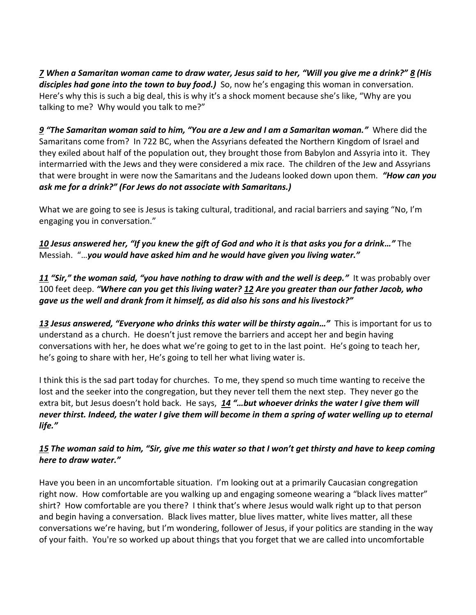*[7](http://www.studylight.org/desk/?q=joh%204:7&t1=en_niv&sr=1) When a Samaritan woman came to draw water, Jesus said to her, "Will you give me a drink?" [8](http://www.studylight.org/desk/?q=joh%204:8&t1=en_niv&sr=1) (His disciples had gone into the town to buy food.)* So, now he's engaging this woman in conversation. Here's why this is such a big deal, this is why it's a shock moment because she's like, "Why are you talking to me? Why would you talk to me?"

*[9](http://www.studylight.org/desk/?q=joh%204:9&t1=en_niv&sr=1) "The Samaritan woman said to him, "You are a Jew and I am a Samaritan woman."* Where did the Samaritans come from? In 722 BC, when the Assyrians defeated the Northern Kingdom of Israel and they exiled about half of the population out, they brought those from Babylon and Assyria into it. They intermarried with the Jews and they were considered a mix race. The children of the Jew and Assyrians that were brought in were now the Samaritans and the Judeans looked down upon them. *"How can you ask me for a drink?" (For Jews do not associate with Samaritans.)*

What we are going to see is Jesus is taking cultural, traditional, and racial barriers and saying "No, I'm engaging you in conversation."

*[10](http://www.studylight.org/desk/?q=joh%204:10&t1=en_niv&sr=1) Jesus answered her, "If you knew the gift of God and who it is that asks you for a drink…"* The Messiah. "…*you would have asked him and he would have given you living water."*

*[11](http://www.studylight.org/desk/?q=joh%204:11&t1=en_niv&sr=1) "Sir," the woman said, "you have nothing to draw with and the well is deep."* It was probably over 100 feet deep. *"Where can you get this living water? [12](http://www.studylight.org/desk/?q=joh%204:12&t1=en_niv&sr=1) Are you greater than our father Jacob, who gave us the well and drank from it himself, as did also his sons and his livestock?"*

*[13](http://www.studylight.org/desk/?q=joh%204:13&t1=en_niv&sr=1) Jesus answered, "Everyone who drinks this water will be thirsty again…"* This is important for us to understand as a church. He doesn't just remove the barriers and accept her and begin having conversations with her, he does what we're going to get to in the last point. He's going to teach her, he's going to share with her, He's going to tell her what living water is.

I think this is the sad part today for churches. To me, they spend so much time wanting to receive the lost and the seeker into the congregation, but they never tell them the next step. They never go the extra bit, but Jesus doesn't hold back. He says, *[14](http://www.studylight.org/desk/?q=joh%204:14&t1=en_niv&sr=1) "…but whoever drinks the water I give them will never thirst. Indeed, the water I give them will become in them a spring of water welling up to eternal life."*

# *[15](http://www.studylight.org/desk/?q=joh%204:15&t1=en_niv&sr=1) The woman said to him, "Sir, give me this water so that I won't get thirsty and have to keep coming here to draw water."*

Have you been in an uncomfortable situation. I'm looking out at a primarily Caucasian congregation right now. How comfortable are you walking up and engaging someone wearing a "black lives matter" shirt? How comfortable are you there? I think that's where Jesus would walk right up to that person and begin having a conversation. Black lives matter, blue lives matter, white lives matter, all these conversations we're having, but I'm wondering, follower of Jesus, if your politics are standing in the way of your faith. You're so worked up about things that you forget that we are called into uncomfortable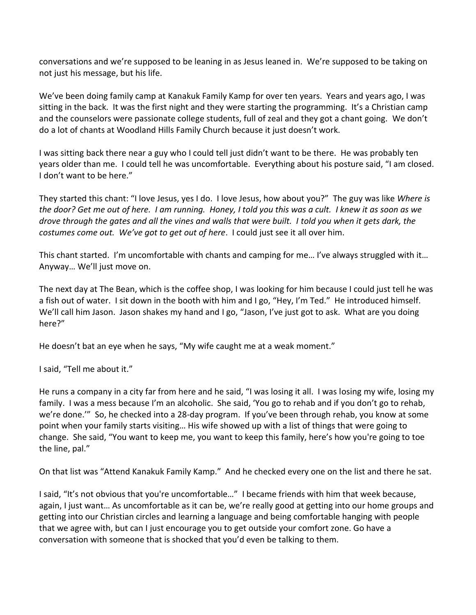conversations and we're supposed to be leaning in as Jesus leaned in. We're supposed to be taking on not just his message, but his life.

We've been doing family camp at Kanakuk Family Kamp for over ten years. Years and years ago, I was sitting in the back. It was the first night and they were starting the programming. It's a Christian camp and the counselors were passionate college students, full of zeal and they got a chant going. We don't do a lot of chants at Woodland Hills Family Church because it just doesn't work.

I was sitting back there near a guy who I could tell just didn't want to be there. He was probably ten years older than me. I could tell he was uncomfortable. Everything about his posture said, "I am closed. I don't want to be here."

They started this chant: "I love Jesus, yes I do. I love Jesus, how about you?" The guy was like *Where is the door? Get me out of here. I am running. Honey, I told you this was a cult. I knew it as soon as we drove through the gates and all the vines and walls that were built. I told you when it gets dark, the costumes come out. We've got to get out of here*. I could just see it all over him.

This chant started. I'm uncomfortable with chants and camping for me… I've always struggled with it… Anyway… We'll just move on.

The next day at The Bean, which is the coffee shop, I was looking for him because I could just tell he was a fish out of water. I sit down in the booth with him and I go, "Hey, I'm Ted." He introduced himself. We'll call him Jason. Jason shakes my hand and I go, "Jason, I've just got to ask. What are you doing here?"

He doesn't bat an eye when he says, "My wife caught me at a weak moment."

I said, "Tell me about it."

He runs a company in a city far from here and he said, "I was losing it all. I was losing my wife, losing my family. I was a mess because I'm an alcoholic. She said, 'You go to rehab and if you don't go to rehab, we're done.'" So, he checked into a 28-day program. If you've been through rehab, you know at some point when your family starts visiting… His wife showed up with a list of things that were going to change. She said, "You want to keep me, you want to keep this family, here's how you're going to toe the line, pal."

On that list was "Attend Kanakuk Family Kamp." And he checked every one on the list and there he sat.

I said, "It's not obvious that you're uncomfortable…" I became friends with him that week because, again, I just want… As uncomfortable as it can be, we're really good at getting into our home groups and getting into our Christian circles and learning a language and being comfortable hanging with people that we agree with, but can I just encourage you to get outside your comfort zone. Go have a conversation with someone that is shocked that you'd even be talking to them.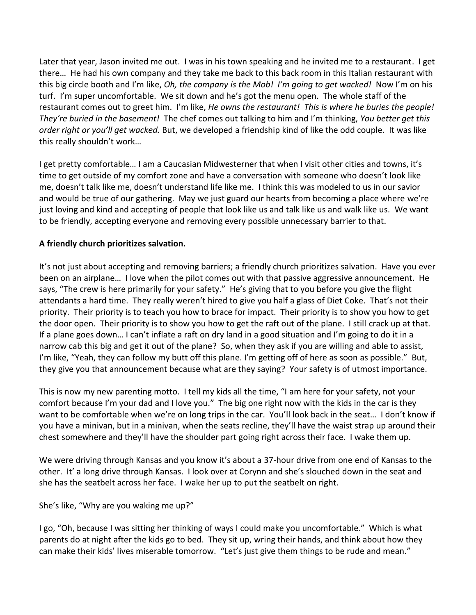Later that year, Jason invited me out. I was in his town speaking and he invited me to a restaurant. I get there… He had his own company and they take me back to this back room in this Italian restaurant with this big circle booth and I'm like, *Oh, the company is the Mob! I'm going to get wacked!* Now I'm on his turf. I'm super uncomfortable. We sit down and he's got the menu open. The whole staff of the restaurant comes out to greet him. I'm like, *He owns the restaurant! This is where he buries the people! They're buried in the basement!* The chef comes out talking to him and I'm thinking, *You better get this order right or you'll get wacked.* But, we developed a friendship kind of like the odd couple. It was like this really shouldn't work…

I get pretty comfortable… I am a Caucasian Midwesterner that when I visit other cities and towns, it's time to get outside of my comfort zone and have a conversation with someone who doesn't look like me, doesn't talk like me, doesn't understand life like me. I think this was modeled to us in our savior and would be true of our gathering. May we just guard our hearts from becoming a place where we're just loving and kind and accepting of people that look like us and talk like us and walk like us. We want to be friendly, accepting everyone and removing every possible unnecessary barrier to that.

### **A friendly church prioritizes salvation.**

It's not just about accepting and removing barriers; a friendly church prioritizes salvation. Have you ever been on an airplane… I love when the pilot comes out with that passive aggressive announcement. He says, "The crew is here primarily for your safety." He's giving that to you before you give the flight attendants a hard time. They really weren't hired to give you half a glass of Diet Coke. That's not their priority. Their priority is to teach you how to brace for impact. Their priority is to show you how to get the door open. Their priority is to show you how to get the raft out of the plane. I still crack up at that. If a plane goes down… I can't inflate a raft on dry land in a good situation and I'm going to do it in a narrow cab this big and get it out of the plane? So, when they ask if you are willing and able to assist, I'm like, "Yeah, they can follow my butt off this plane. I'm getting off of here as soon as possible." But, they give you that announcement because what are they saying? Your safety is of utmost importance.

This is now my new parenting motto. I tell my kids all the time, "I am here for your safety, not your comfort because I'm your dad and I love you." The big one right now with the kids in the car is they want to be comfortable when we're on long trips in the car. You'll look back in the seat... I don't know if you have a minivan, but in a minivan, when the seats recline, they'll have the waist strap up around their chest somewhere and they'll have the shoulder part going right across their face. I wake them up.

We were driving through Kansas and you know it's about a 37-hour drive from one end of Kansas to the other. It' a long drive through Kansas. I look over at Corynn and she's slouched down in the seat and she has the seatbelt across her face. I wake her up to put the seatbelt on right.

She's like, "Why are you waking me up?"

I go, "Oh, because I was sitting her thinking of ways I could make you uncomfortable." Which is what parents do at night after the kids go to bed. They sit up, wring their hands, and think about how they can make their kids' lives miserable tomorrow. "Let's just give them things to be rude and mean."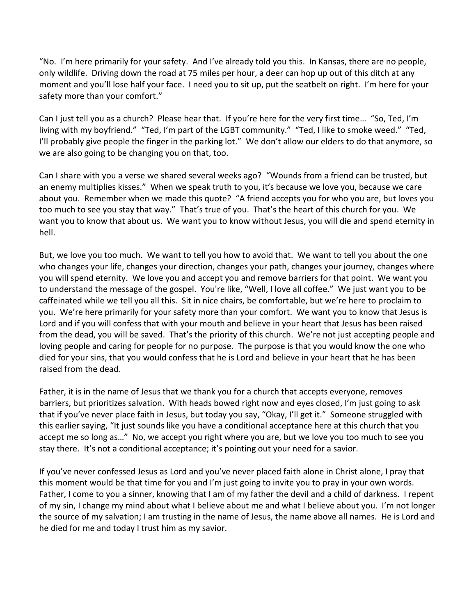"No. I'm here primarily for your safety. And I've already told you this. In Kansas, there are no people, only wildlife. Driving down the road at 75 miles per hour, a deer can hop up out of this ditch at any moment and you'll lose half your face. I need you to sit up, put the seatbelt on right. I'm here for your safety more than your comfort."

Can I just tell you as a church? Please hear that. If you're here for the very first time… "So, Ted, I'm living with my boyfriend." "Ted, I'm part of the LGBT community." "Ted, I like to smoke weed." "Ted, I'll probably give people the finger in the parking lot." We don't allow our elders to do that anymore, so we are also going to be changing you on that, too.

Can I share with you a verse we shared several weeks ago? "Wounds from a friend can be trusted, but an enemy multiplies kisses." When we speak truth to you, it's because we love you, because we care about you. Remember when we made this quote? "A friend accepts you for who you are, but loves you too much to see you stay that way." That's true of you. That's the heart of this church for you. We want you to know that about us. We want you to know without Jesus, you will die and spend eternity in hell.

But, we love you too much. We want to tell you how to avoid that. We want to tell you about the one who changes your life, changes your direction, changes your path, changes your journey, changes where you will spend eternity. We love you and accept you and remove barriers for that point. We want you to understand the message of the gospel. You're like, "Well, I love all coffee." We just want you to be caffeinated while we tell you all this. Sit in nice chairs, be comfortable, but we're here to proclaim to you. We're here primarily for your safety more than your comfort. We want you to know that Jesus is Lord and if you will confess that with your mouth and believe in your heart that Jesus has been raised from the dead, you will be saved. That's the priority of this church. We're not just accepting people and loving people and caring for people for no purpose. The purpose is that you would know the one who died for your sins, that you would confess that he is Lord and believe in your heart that he has been raised from the dead.

Father, it is in the name of Jesus that we thank you for a church that accepts everyone, removes barriers, but prioritizes salvation. With heads bowed right now and eyes closed, I'm just going to ask that if you've never place faith in Jesus, but today you say, "Okay, I'll get it." Someone struggled with this earlier saying, "It just sounds like you have a conditional acceptance here at this church that you accept me so long as…" No, we accept you right where you are, but we love you too much to see you stay there. It's not a conditional acceptance; it's pointing out your need for a savior.

If you've never confessed Jesus as Lord and you've never placed faith alone in Christ alone, I pray that this moment would be that time for you and I'm just going to invite you to pray in your own words. Father, I come to you a sinner, knowing that I am of my father the devil and a child of darkness. I repent of my sin, I change my mind about what I believe about me and what I believe about you. I'm not longer the source of my salvation; I am trusting in the name of Jesus, the name above all names. He is Lord and he died for me and today I trust him as my savior.